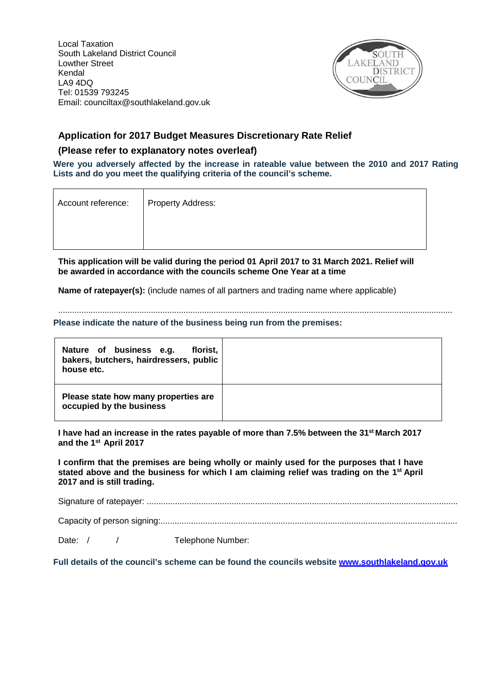Local Taxation South Lakeland District Council Lowther Street Kendal LA9 4DQ Tel: 01539 793245 Email: [counciltax@southlakeland.gov.uk](mailto:counciltax@southlakeland.gov.uk)



# **Application for 2017 Budget Measures Discretionary Rate Relief**

## **(Please refer to explanatory notes overleaf)**

**Were you adversely affected by the increase in rateable value between the 2010 and 2017 Rating Lists and do you meet the qualifying criteria of the council's scheme.**

| Account reference: | <b>Property Address:</b> |
|--------------------|--------------------------|
|                    |                          |
|                    |                          |
|                    |                          |

**This application will be valid during the period 01 April 2017 to 31 March 2021. Relief will be awarded in accordance with the councils scheme One Year at a time**

**Name of ratepayer(s):** (include names of all partners and trading name where applicable)

**Please indicate the nature of the business being run from the premises:**

| Nature of business e.g.<br>florist,<br>bakers, butchers, hairdressers, public<br>house etc. |  |
|---------------------------------------------------------------------------------------------|--|
| Please state how many properties are<br>occupied by the business                            |  |

..........................................................................................................................................................................

**I have had an increase in the rates payable of more than 7.5% between the 31st March 2017 and the 1st April 2017**

**I confirm that the premises are being wholly or mainly used for the purposes that I have stated above and the business for which I am claiming relief was trading on the 1st April 2017 and is still trading.**

Signature of ratepayer: ....................................................................................................................................

Capacity of person signing:..............................................................................................................................

Date: / / Telephone Number:

**Full details of the council's scheme can be found the councils website [www.southlakeland.gov.uk](http://www.southlakeland.gov.uk/)**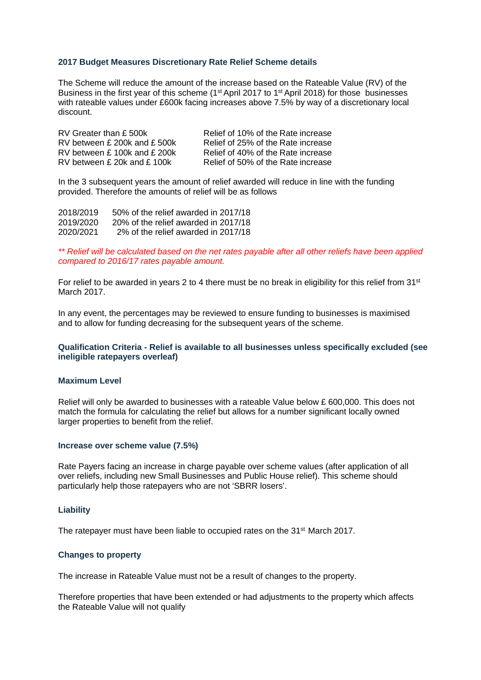#### **2017 Budget Measures Discretionary Rate Relief Scheme details**

The Scheme will reduce the amount of the increase based on the Rateable Value (RV) of the Business in the first year of this scheme (1<sup>st</sup> April 2017 to 1<sup>st</sup> April 2018) for those businesses with rateable values under £600k facing increases above 7.5% by way of a discretionary local discount.

RV Greater than £500k Relief of 10% of the Rate increase<br>RV between £200k and £500k Relief of 25% of the Rate increase RV between £ 200k and £ 500k Relief of 25% of the Rate increase<br>RV between £ 100k and £ 200k Relief of 40% of the Rate increase RV between £100k and £200k Relief of 40% of the Rate increase<br>RV between £20k and £100k Relief of 50% of the Rate increase Relief of 50% of the Rate increase

In the 3 subsequent years the amount of relief awarded will reduce in line with the funding provided. Therefore the amounts of relief will be as follows

2018/2019 50% of the relief awarded in 2017/18 2019/2020 20% of the relief awarded in 2017/18 2% of the relief awarded in 2017/18

*\*\* Relief will be calculated based on the net rates payable after all other reliefs have been applied compared to 2016/17 rates payable amount.*

For relief to be awarded in years 2 to 4 there must be no break in eligibility for this relief from  $31<sup>st</sup>$ March 2017.

In any event, the percentages may be reviewed to ensure funding to businesses is maximised and to allow for funding decreasing for the subsequent years of the scheme.

#### **Qualification Criteria - Relief is available to all businesses unless specifically excluded (see ineligible ratepayers overleaf)**

#### **Maximum Level**

Relief will only be awarded to businesses with a rateable Value below £ 600,000. This does not match the formula for calculating the relief but allows for a number significant locally owned larger properties to benefit from the relief.

#### **Increase over scheme value (7.5%)**

Rate Payers facing an increase in charge payable over scheme values (after application of all over reliefs, including new Small Businesses and Public House relief). This scheme should particularly help those ratepayers who are not 'SBRR losers'.

#### **Liability**

The ratepayer must have been liable to occupied rates on the 31<sup>st</sup> March 2017.

#### **Changes to property**

The increase in Rateable Value must not be a result of changes to the property.

Therefore properties that have been extended or had adjustments to the property which affects the Rateable Value will not qualify